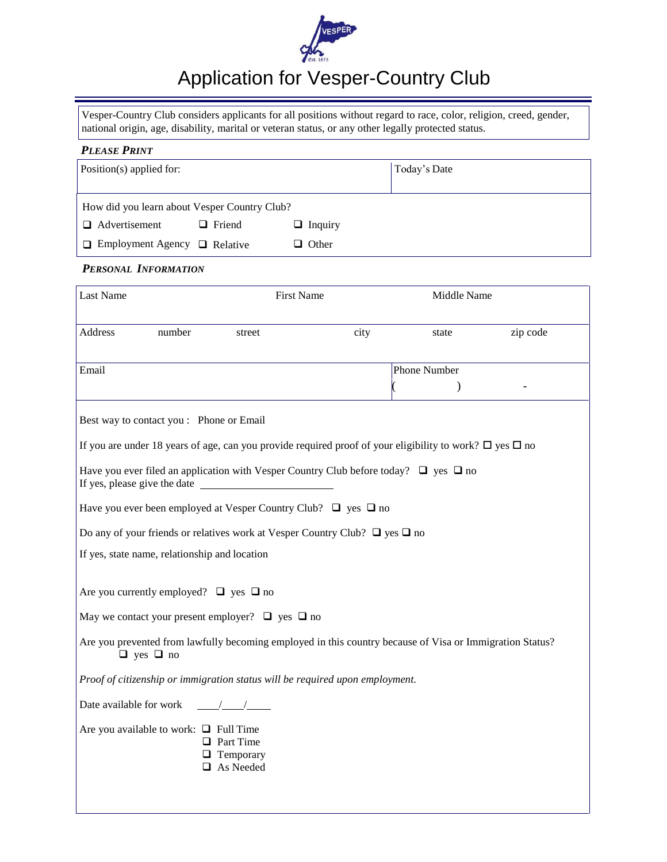

# Application for Vesper-Country Club

Vesper-Country Club considers applicants for all positions without regard to race, color, religion, creed, gender, national origin, age, disability, marital or veteran status, or any other legally protected status.

| <b>PLEASE PRINT</b> |  |
|---------------------|--|
|---------------------|--|

| Position(s) applied for:                     |               | Today's Date   |  |
|----------------------------------------------|---------------|----------------|--|
| How did you learn about Vesper Country Club? |               |                |  |
| $\Box$ Advertisement                         | $\Box$ Friend | $\Box$ Inquiry |  |
| $\Box$ Employment Agency $\Box$ Relative     |               | $\Box$ Other   |  |

## *PERSONAL INFORMATION*

| Last Name                                        | <b>First Name</b>                                                                                                  |      | Middle Name         |          |
|--------------------------------------------------|--------------------------------------------------------------------------------------------------------------------|------|---------------------|----------|
| Address<br>number                                | street                                                                                                             | city | state               | zip code |
| Email                                            |                                                                                                                    |      | <b>Phone Number</b> |          |
| Best way to contact you : Phone or Email         |                                                                                                                    |      |                     |          |
|                                                  | If you are under 18 years of age, can you provide required proof of your eligibility to work? $\Box$ yes $\Box$ no |      |                     |          |
|                                                  | Have you ever filed an application with Vesper Country Club before today? $\Box$ yes $\Box$ no                     |      |                     |          |
|                                                  | Have you ever been employed at Vesper Country Club? $\Box$ yes $\Box$ no                                           |      |                     |          |
|                                                  | Do any of your friends or relatives work at Vesper Country Club? $\Box$ yes $\Box$ no                              |      |                     |          |
| If yes, state name, relationship and location    |                                                                                                                    |      |                     |          |
| Are you currently employed? $\Box$ yes $\Box$ no |                                                                                                                    |      |                     |          |
|                                                  | May we contact your present employer? $\Box$ yes $\Box$ no                                                         |      |                     |          |
| $\Box$ yes $\Box$ no                             | Are you prevented from lawfully becoming employed in this country because of Visa or Immigration Status?           |      |                     |          |
|                                                  | Proof of citizenship or immigration status will be required upon employment.                                       |      |                     |          |
| Date available for work                          | $\frac{1}{\sqrt{2}}$                                                                                               |      |                     |          |
| Are you available to work: $\Box$ Full Time      | $\Box$ Part Time<br>$\Box$ Temporary<br>$\Box$ As Needed                                                           |      |                     |          |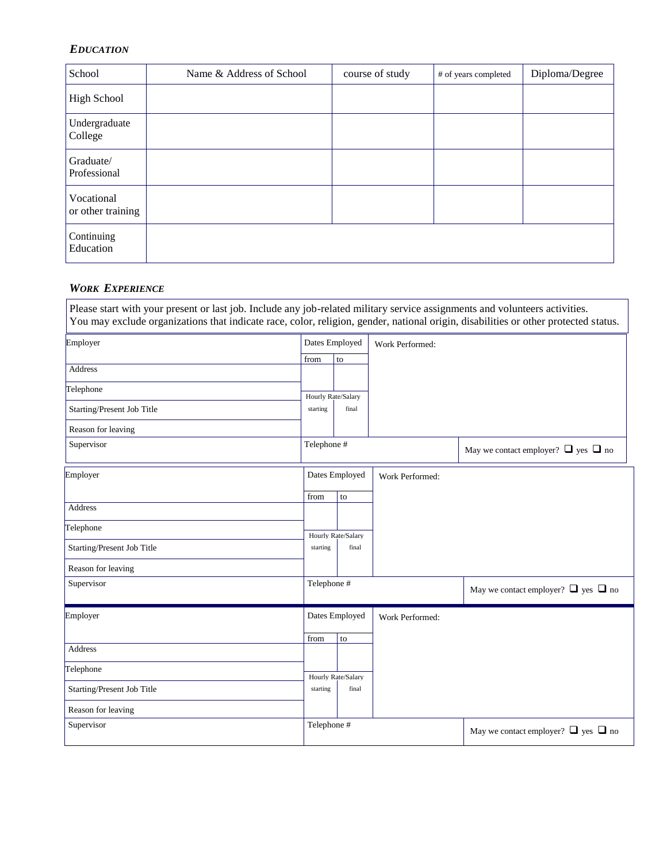## *EDUCATION*

| School                          | Name & Address of School | course of study | # of years completed | Diploma/Degree |
|---------------------------------|--------------------------|-----------------|----------------------|----------------|
| <b>High School</b>              |                          |                 |                      |                |
| Undergraduate<br>College        |                          |                 |                      |                |
| Graduate/<br>Professional       |                          |                 |                      |                |
| Vocational<br>or other training |                          |                 |                      |                |
| Continuing<br>Education         |                          |                 |                      |                |

## *WORK EXPERIENCE*

| Employer                   |                    | Dates Employed     | Work Performed: |                                               |
|----------------------------|--------------------|--------------------|-----------------|-----------------------------------------------|
|                            | from               | to                 |                 |                                               |
| <b>Address</b>             |                    |                    |                 |                                               |
| Telephone                  | Hourly Rate/Salary |                    |                 |                                               |
| Starting/Present Job Title | starting           | final              |                 |                                               |
| Reason for leaving         |                    |                    |                 |                                               |
| Supervisor                 | Telephone #        |                    |                 | May we contact employer? $\Box$ yes $\Box$ no |
| Employer                   |                    | Dates Employed     | Work Performed: |                                               |
|                            | from               | to                 |                 |                                               |
| <b>Address</b>             |                    |                    |                 |                                               |
| Telephone                  |                    | Hourly Rate/Salary |                 |                                               |
| Starting/Present Job Title | starting           | final              |                 |                                               |
| Reason for leaving         |                    |                    |                 |                                               |
| Supervisor                 | Telephone #        |                    |                 | May we contact employer? $\Box$ yes $\Box$ no |
| Employer                   |                    | Dates Employed     | Work Performed: |                                               |
|                            | from               | to                 |                 |                                               |
| <b>Address</b>             |                    |                    |                 |                                               |
| Telephone                  |                    | Hourly Rate/Salary |                 |                                               |
| Starting/Present Job Title | starting           | final              |                 |                                               |
| Reason for leaving         |                    |                    |                 |                                               |
| Supervisor                 | Telephone #        |                    |                 | May we contact employer? $\Box$ yes $\Box$ no |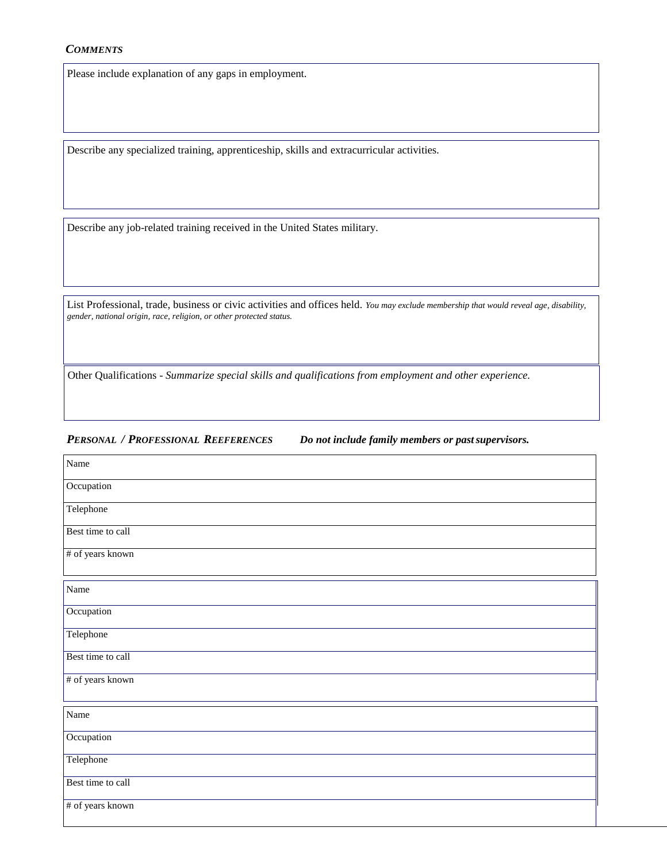#### *COMMENTS*

Please include explanation of any gaps in employment.

Describe any specialized training, apprenticeship, skills and extracurricular activities.

Describe any job-related training received in the United States military.

List Professional, trade, business or civic activities and offices held. *You may exclude membership that would reveal age, disability, gender, national origin, race, religion, or other protected status.*

Other Qualifications - *Summarize special skills and qualifications from employment and other experience.*

### *PERSONAL / PROFESSIONAL REEFERENCES Do not include family members or pastsupervisors.*

| Name              |
|-------------------|
| Occupation        |
| Telephone         |
| Best time to call |
| # of years known  |
| Name              |
| Occupation        |
| Telephone         |
| Best time to call |
| # of years known  |
| Name              |
| Occupation        |
| Telephone         |
| Best time to call |
| # of years known  |